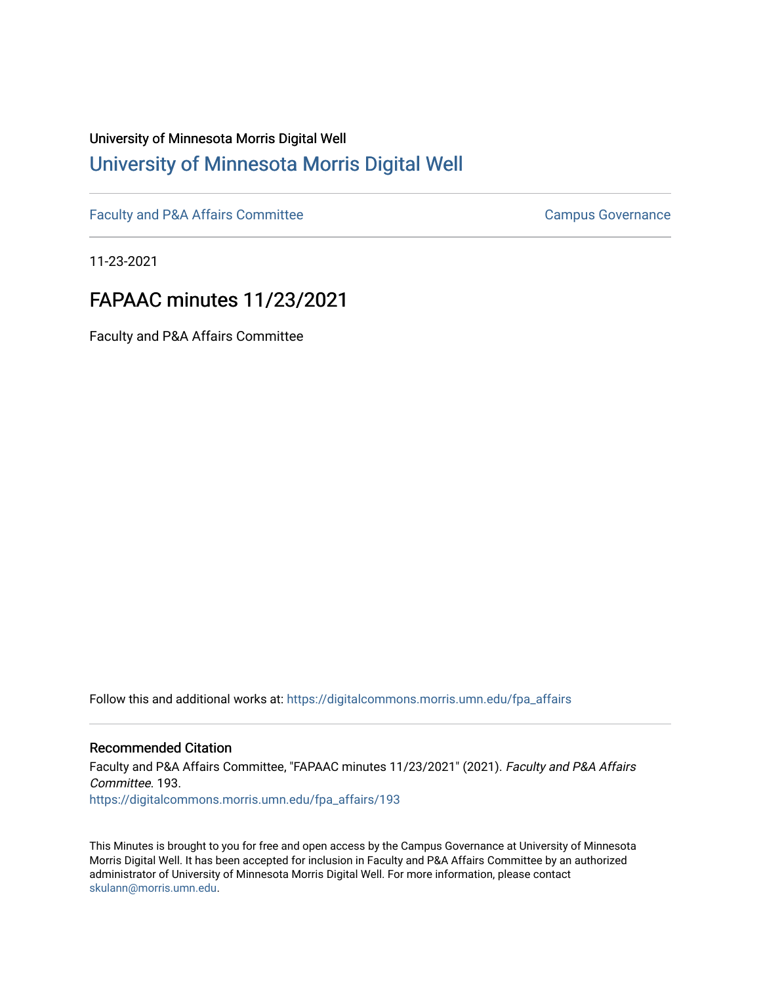## University of Minnesota Morris Digital Well [University of Minnesota Morris Digital Well](https://digitalcommons.morris.umn.edu/)

[Faculty and P&A Affairs Committee](https://digitalcommons.morris.umn.edu/fpa_affairs) [Campus Governance](https://digitalcommons.morris.umn.edu/campgov) Campus Governance

11-23-2021

# FAPAAC minutes 11/23/2021

Faculty and P&A Affairs Committee

Follow this and additional works at: [https://digitalcommons.morris.umn.edu/fpa\\_affairs](https://digitalcommons.morris.umn.edu/fpa_affairs?utm_source=digitalcommons.morris.umn.edu%2Ffpa_affairs%2F193&utm_medium=PDF&utm_campaign=PDFCoverPages)

#### Recommended Citation

Faculty and P&A Affairs Committee, "FAPAAC minutes 11/23/2021" (2021). Faculty and P&A Affairs Committee. 193. [https://digitalcommons.morris.umn.edu/fpa\\_affairs/193](https://digitalcommons.morris.umn.edu/fpa_affairs/193?utm_source=digitalcommons.morris.umn.edu%2Ffpa_affairs%2F193&utm_medium=PDF&utm_campaign=PDFCoverPages)

This Minutes is brought to you for free and open access by the Campus Governance at University of Minnesota Morris Digital Well. It has been accepted for inclusion in Faculty and P&A Affairs Committee by an authorized administrator of University of Minnesota Morris Digital Well. For more information, please contact [skulann@morris.umn.edu.](mailto:skulann@morris.umn.edu)